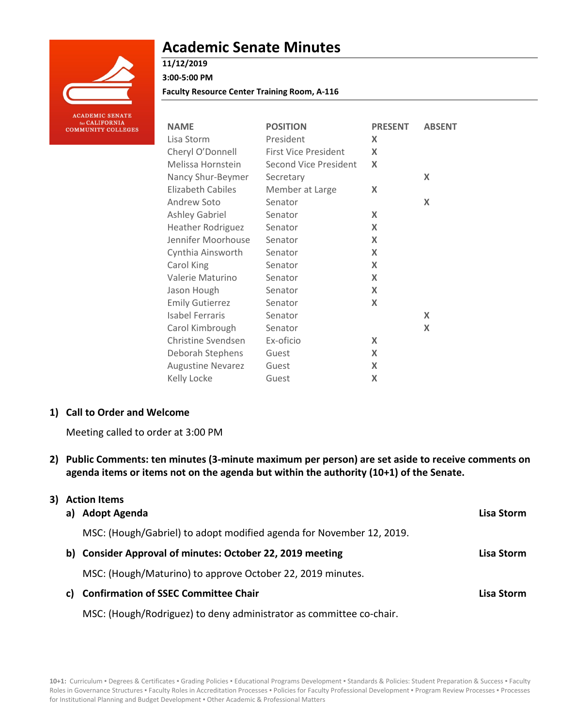

# **Academic Senate Minutes**

## **11/12/2019**

**3:00-5:00 PM**

**Faculty Resource Center Training Room, A-116**

| <b>NAME</b>              | <b>POSITION</b>              | <b>PRESENT</b> | <b>ABSENT</b> |
|--------------------------|------------------------------|----------------|---------------|
| Lisa Storm               | President                    | X              |               |
| Cheryl O'Donnell         | <b>First Vice President</b>  | X              |               |
| Melissa Hornstein        | <b>Second Vice President</b> | X              |               |
| Nancy Shur-Beymer        | Secretary                    |                | X             |
| <b>Elizabeth Cabiles</b> | Member at Large              | X              |               |
| Andrew Soto              | Senator                      |                | X             |
| <b>Ashley Gabriel</b>    | Senator                      | X              |               |
| <b>Heather Rodriguez</b> | Senator                      | X              |               |
| Jennifer Moorhouse       | Senator                      | X              |               |
| Cynthia Ainsworth        | Senator                      | X              |               |
| Carol King               | Senator                      | X              |               |
| Valerie Maturino         | Senator                      | X              |               |
| Jason Hough              | Senator                      | X              |               |
| <b>Emily Gutierrez</b>   | Senator                      | X              |               |
| Isabel Ferraris          | Senator                      |                | X             |
| Carol Kimbrough          | Senator                      |                | X             |
| Christine Svendsen       | Ex-oficio                    | X              |               |
| Deborah Stephens         | Guest                        | X              |               |
| <b>Augustine Nevarez</b> | Guest                        | X              |               |
| Kelly Locke              | Guest                        | X              |               |

## **1) Call to Order and Welcome**

Meeting called to order at 3:00 PM

**2) Public Comments: ten minutes (3-minute maximum per person) are set aside to receive comments on agenda items or items not on the agenda but within the authority (10+1) of the Senate.**

| a) | 3) Action Items<br>Adopt Agenda                                      | Lisa Storm |
|----|----------------------------------------------------------------------|------------|
|    | MSC: (Hough/Gabriel) to adopt modified agenda for November 12, 2019. |            |
| b) | <b>Consider Approval of minutes: October 22, 2019 meeting</b>        | Lisa Storm |
|    | MSC: (Hough/Maturino) to approve October 22, 2019 minutes.           |            |
| C) | <b>Confirmation of SSEC Committee Chair</b>                          | Lisa Storm |
|    | MSC: (Hough/Rodriguez) to deny administrator as committee co-chair.  |            |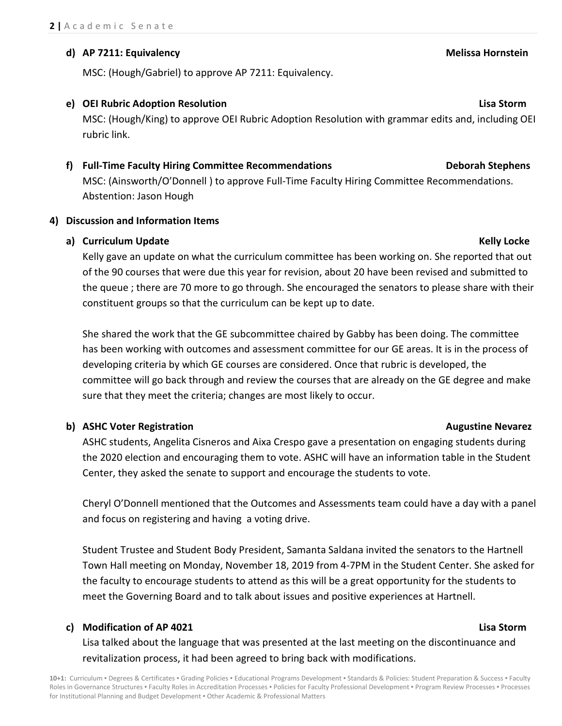## **d) AP 7211: Equivalency Melissa Hornstein**

MSC: (Hough/Gabriel) to approve AP 7211: Equivalency.

## **e) OEI Rubric Adoption Resolution Lisa Storm**

MSC: (Hough/King) to approve OEI Rubric Adoption Resolution with grammar edits and, including OEI rubric link.

## **f) Full-Time Faculty Hiring Committee Recommendations Deborah Stephens**

MSC: (Ainsworth/O'Donnell ) to approve Full-Time Faculty Hiring Committee Recommendations. Abstention: Jason Hough

## **4) Discussion and Information Items**

## **a) Curriculum Update Kelly Locke**

Kelly gave an update on what the curriculum committee has been working on. She reported that out of the 90 courses that were due this year for revision, about 20 have been revised and submitted to the queue ; there are 70 more to go through. She encouraged the senators to please share with their constituent groups so that the curriculum can be kept up to date.

She shared the work that the GE subcommittee chaired by Gabby has been doing. The committee has been working with outcomes and assessment committee for our GE areas. It is in the process of developing criteria by which GE courses are considered. Once that rubric is developed, the committee will go back through and review the courses that are already on the GE degree and make sure that they meet the criteria; changes are most likely to occur.

## **b)** ASHC Voter Registration **Augustine Nevarez Augustine Nevarez**

## ASHC students, Angelita Cisneros and Aixa Crespo gave a presentation on engaging students during the 2020 election and encouraging them to vote. ASHC will have an information table in the Student Center, they asked the senate to support and encourage the students to vote.

Cheryl O'Donnell mentioned that the Outcomes and Assessments team could have a day with a panel and focus on registering and having a voting drive.

Student Trustee and Student Body President, Samanta Saldana invited the senators to the Hartnell Town Hall meeting on Monday, November 18, 2019 from 4-7PM in the Student Center. She asked for the faculty to encourage students to attend as this will be a great opportunity for the students to meet the Governing Board and to talk about issues and positive experiences at Hartnell.

## **c) Modification of AP 4021 Lisa Storm**

Lisa talked about the language that was presented at the last meeting on the discontinuance and revitalization process, it had been agreed to bring back with modifications.